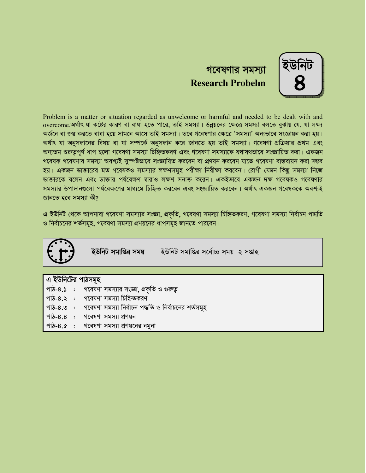

# গবেষণার সমস্যা **Research Probelm**

Problem is a matter or situation regarded as unwelcome or harmful and needed to be dealt with and overcome.অৰ্থাৎ যা কষ্টের কারণ বা বাধা হতে পারে, তাই সমস্যা। উন্নয়নের ক্ষেত্রে সমস্যা বলতে বুঝায় যে, যা লক্ষ্য অৰ্জনে বা জয় করতে বাধা হয়ে সামনে আসে তাই সমস্যা। তবে গবেষণার ক্ষেত্রে 'সমস্যা' অন্যভাবে সংজ্ঞায়ন করা হয়। অৰ্থাৎ যা অনুসন্ধানের বিষয় বা যা সম্পর্কে অনুসন্ধান করে জানতে হয় তাই সমস্যা। গবেষণা প্রক্রিয়ার প্রথম এবং অন্যতম গুরুতপূর্ণ ধাপ হলো গবেষণা সমস্যা চিহ্নিতকরণ এবং গবেষণা সমস্যাকে যথাযথভাবে সংজ্ঞায়িত করা। একজন গবেষক গবেষণার সমস্যা অবশ্যই সুস্পষ্টভাবে সংজ্ঞায়িত করবেন বা প্রণয়ন করবেন যাতে গবেষণা বাস্তবায়ন করা সম্ভব হয়। একজন ডাক্তারের মত গবেষকও সমস্যার লক্ষণসমূহ পরীক্ষা নিরীক্ষা করবেন। রোগী যেমন কিছু সমস্যা নিজে ডাক্তারকে বলেন এবং ডাক্তার পর্যবেক্ষণ দ্বারাও লক্ষণ সনাক্ত করেন। একইভাবে একজন দক্ষ গবেষকও গবেষণার সমস্যার উপাদানগুলো পর্যবেক্ষণের মাধ্যমে চিহ্নিত করবেন এবং সংজ্ঞায়িত করবেন। অর্থাৎ একজন গবেষককে অবশ্যই জানতে হবে সমস্যা কী?

এ ইউনিট থেকে আপনারা গবেষণা সমস্যার সংজ্ঞা, প্রকৃতি, গবেষণা সমস্যা চিহ্নিতকরণ, গবেষণা সমস্যা নির্বাচন পদ্ধতি ও নির্বাচনের শর্তসমূহ, গবেষণা সমস্যা প্রণয়নের ধাপসমূহ জানতে পারবেন।



|  | এ ইউনিটের পাঠসমূহ |                                                                          |  |
|--|-------------------|--------------------------------------------------------------------------|--|
|  |                   | পাঠ-৪.১ : গবেষণা সমস্যার সংজ্ঞা, প্রকৃতি ও গুরুত্ব                       |  |
|  |                   | ' পাঠ-৪.২   :     গবেষণা সমস্যা চিহ্নিতকরণ                               |  |
|  |                   | ্পাঠ-৪.৩ : গবেষণা সমস্যা নির্বাচন পদ্ধতি ও নির্বাচনের শর্তসমূহ           |  |
|  |                   | । পাঠ-৪.৪  :  গবেষণা সমস্যা প্রণয়ন                                      |  |
|  |                   | $\frac{1}{2}$ and $\frac{1}{2}$ and there there is a start $\frac{1}{2}$ |  |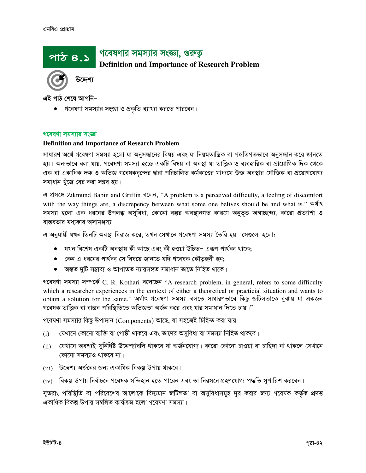# গবেষণার সমস্যার সংজ্ঞা, গুরুতু

# **Definition and Importance of Research Problem**

উদ্দেশ্য

এই পাঠ শেষে আপনি–

পাঠ ৪.১

গবেষণা সমস্যার সংজ্ঞা ও প্রকৃতি ব্যাখ্যা করতে পারবেন।

#### গবেষণা সমস্যার সংজ্ঞা

#### **Definition and Importance of Research Problem**

সাধারণ অর্থে গবেষণা সমস্যা হলো যা অনুসন্ধানের বিষয় এবং যা নিয়মতান্ত্রিক বা পদ্ধতিগতভাবে অনুসন্ধান করে জানতে হয়। অন্যভাবে বলা যায়, গবেষণা সমস্যা হচ্ছে একটি বিষয় বা অবস্থা যা তাত্ত্বিক ও ব্যবহারিক বা প্রায়োগিক দিক থেকে এক বা একাধিক দক্ষ ও অভিজ্ঞ গবেষকবৃন্দের দ্বারা পরিচালিত কর্মকাণ্ডের মাধ্যমে উক্ত অবস্থার যৌক্তিক বা প্রয়োগযোগ্য সমাধান খুঁজে বের করা সম্ভব হয়।

এ প্ৰসঙ্গে Zikmund Babin and Griffin বলেন, "A problem is a perceived difficulty, a feeling of discomfort with the way things are, a discrepency between what some one belives should be and what is." **Notice** সমস্যা হলো এক ধরনের উপলব্ধ অসুবিধা, কোনো বম্ভর অবস্থানগত কারণে অনুভূত অস্বাচ্ছন্দ্য, কারো প্রত্যাশা ও বাস্তবতার মধ্যকার অসামঞ্জস্য।

এ অনুযায়ী যখন তিনটি অবস্থা বিরাজ করে, তখন সেখানে গবেষণা সমস্যা তৈরি হয়। সেগুলো হলো:

- যখন বিশেষ একটি অবস্থায় কী আছে এবং কী হওয়া উচিত– এরূপ পার্থক্য থাকে;
- কেন এ ধরনের পার্থক্য সে বিষয়ে জানতে যদি গবেষক কৌতূহলী হন;
- অন্তত দুটি সম্ভাব্য ও আপাতত ন্যায়সঙ্গত সমাধান তাতে নিহিত থাকে।

গবেষণা সমস্যা সম্পর্কে C. R. Kothari বলেছেন "A research problem, in general, refers to some difficulty which a researcher experiences in the context of either a theoretical or practicial situation and wants to obtain a solution for the same." অৰ্থাৎ গবেষণা সমস্যা বলতে সাধারণভাবে কিছু জটিলতাকে বুঝায় যা একজন গবেষক তাত্তিক বা বাস্তব পরিস্থিতিতে অভিজ্ঞতা অর্জন করে এবং যার সমাধান দিতে চায়।"

গবেষণা সমস্যার কিছু উপাদান (Components) আছে, যা সহজেই চিহ্নিত করা যায়।

- যেখানে কোনো ব্যক্তি বা গোষ্ঠী থাকবে এবং তাদের অসবিধা বা সমস্যা নিহিত থাকবে।  $(i)$
- (ii) যেখানে অবশ্যই সুনির্দিষ্ট উদ্দেশ্যাবলি থাকবে যা অর্জনযোগ্য। কারো কোনো চাওয়া বা চাহিদা না থাকলে সেখানে কোনো সমস্যাও থাকবে না।
- (iii) উদ্দেশ্য অর্জনের জন্য একাধিক বিকল্প উপায় থাকবে।
- (iv) বিকল্প উপায় নির্বাচনে গবেষক সন্দিহান হতে পারেন এবং তা নিরসনে গ্রহণযোগ্য পদ্ধতি সুপারিশ করবেন।

সুতরাং পরিস্থিতি বা পরিবেশের আলোকে বিদ্যমান জটিলতা বা অসুবিধাসমূহ দূর করার জন্য গবেষক কর্তৃক প্রদত্ত একাধিক বিকল্প উপায় সম্বলিত কাৰ্যক্ৰম হলো গবেষণা সমস্যা।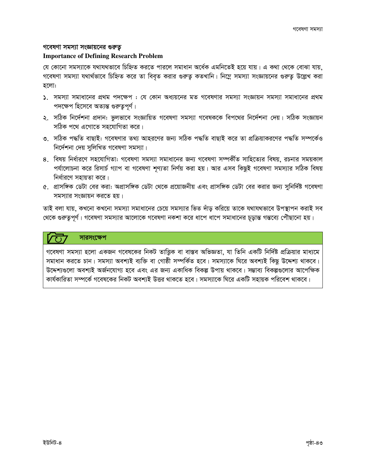#### গবেষণা সমস্যা সংজ্ঞায়নের গুরুতু

#### **Importance of Defining Research Problem**

যে কোনো সমস্যাকে যথাযথভাবে চিহ্নিত করতে পারলে সমাধান অর্ধেক এমনিতেই হয়ে যায়। এ কথা থেকে বোঝা যায়, গবেষণা সমস্যা যথার্থভাবে চিহ্নিত করে তা বিবৃত করার গুরুত্ব কতখানি। নিম্নে সমস্যা সংজ্ঞায়নের গুরুত্ব উল্লেখ করা হলো:

- ১. সমস্যা সমাধানের প্রথম পদক্ষেপ : যে কোন অধ্যয়নের মত গবেষণার সমস্যা সংজ্ঞায়ন সমস্যা সমাধানের প্রথম পদক্ষেপ হিসেবে অত্যন্ত গুরুতুপূর্ণ।
- ২. সঠিক নির্দেশনা প্রদান: ভুলভাবে সংজ্ঞায়িত গবেষণা সমস্যা গবেষককে বিপথের নির্দেশনা দেয়। সঠিক সংজ্ঞায়ন সঠিক পথে এগোতে সহযোগিতা করে।
- ৩. সঠিক পদ্ধতি বাছাই: গবেষণার তথ্য আহরণের জন্য সঠিক পদ্ধতি বাছাই করে তা প্রক্রিয়াকরণের পদ্ধতি সম্পর্কেও নির্দেশনা দেয় সুলিখিত গবেষণা সমস্যা।
- ৪. বিষয় নির্ধারণে সহযোগিতা: গবেষণা সমস্যা সমাধানের জন্য গবেষণা সম্পর্কীত সাহিত্যের বিষয়, রচনার সময়কাল পর্যালোচনা করে রিসার্চ গ্যাপ বা গবেষণা শূণ্যতা নির্ণয় করা হয়। আর এসব কিছুই গবেষণা সমস্যার সঠিক বিষয় নিৰ্ধারণে সহায়তা করে।
- ৫. প্রাসঙ্গিক ডেটা বের করা: অপ্রাসঙ্গিক ডেটা থেকে প্রয়োজনীয় এবং প্রাসঙ্গিক ডেটা বের করার জন্য সুনির্দিষ্ট গবেষণা সমস্যার সংজ্ঞায়ন করতে হয়।

তাই বলা যায়, কখনো কখনো সমস্যা সমাধানের চেয়ে সমস্যার ভিত দাঁড় করিয়ে তাকে যথাযথভাবে উপস্থাপন করাই সব থেকে গুরুত্বপূর্ণ। গবেষণা সমস্যার আলোকে গবেষণা নকশা করে ধাপে ধাপে সমাধানের চূড়ান্ত গন্তব্যে পৌছানো হয়।

# সারসংক্ষেপ

গবেষণা সমস্যা হলো একজন গবেষকের নিকট তাত্তিক বা বাস্তব অভিজ্ঞতা, যা তিনি একটি নির্দিষ্ট প্রক্রিয়ার মাধ্যমে সমাধান করতে চান। সমস্যা অবশ্যই ব্যক্তি বা গোষ্ঠী সম্পর্কিত হবে। সমস্যাকে ঘিরে অবশ্যই কিছু উদ্দেশ্য থাকবে। উদ্দেশ্যগুলো অবশ্যই অর্জনযোগ্য হবে এবং এর জন্য একাধিক বিকল্প উপায় থাকবে। সম্ভাব্য বিকল্পগুলোর আপেক্ষিক কার্যকারিতা সম্পর্কে গবেষকের নিকট অবশ্যই উত্তর থাকতে হবে। সমস্যাকে ঘিরে একটি সহায়ক পরিবেশ থাকবে।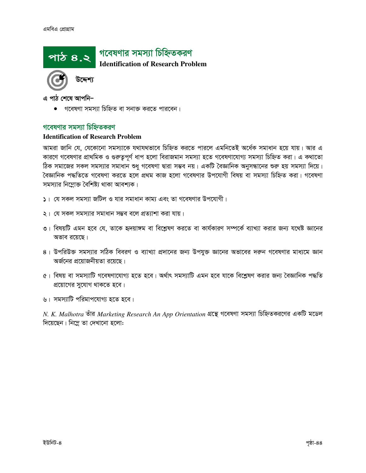

এ পাঠ শেষে আপনি–

গবেষণা সমস্যা চিহ্নিত বা সনাক্ত করতে পারবেন।

### গবেষণার সমস্যা চিহ্নিতকরণ

#### **Identification of Research Problem**

আমরা জানি যে, যেকোনো সমস্যাকে যথাযথভাবে চিহ্নিত করতে পারলে এমনিতেই অর্ধেক সমাধান হয়ে যায়। আর এ কারণে গবেষণার প্রাথমিক ও গুরুত্বপূর্ণ ধাপ হলো বিরাজমান সমস্যা হতে গবেষণাযোগ্য সমস্যা চিহ্নিত করা। এ কথাতো ঠিক সমাজের সকল সমস্যার সমাধান শুধু গবেষণা দ্বারা সম্ভব নয়। একটি বৈজ্ঞানিক অনুসন্ধানের শুরু হয় সমস্যা দিয়ে। বৈজ্ঞানিক পদ্ধতিতে গবেষণা করতে হলে প্রথম কাজ হলো গবেষণার উপযোগী বিষয় বা সমস্যা চিহ্নিত করা। গবেষণা সমস্যার নিম্নোক্ত বৈশিষ্ট্য থাকা আবশ্যক।

- ১। যে সকল সমস্যা জটিল ও যার সমাধান কাম্য এবং তা গবেষণার উপযোগী।
- ২। যে সকল সমস্যার সমাধান সম্ভব বলে প্রত্যাশা করা যায়।
- ৩। বিষয়টি এমন হবে যে, তাকে হৃদয়াঙ্গম বা বিশ্লেষণ করতে বা কার্যকারণ সম্পর্কে ব্যাখ্যা করার জন্য যথেষ্ট জ্ঞানের অভাব রয়েছে।
- ৪। উপরিউক্ত সমস্যার সঠিক বিবরণ ও ব্যাখ্যা প্রদানের জন্য উপযুক্ত জ্ঞানের অভাবের দরুন গবেষণার মাধ্যমে জ্ঞান অর্জনের প্রয়োজনীয়তা রয়েছে।
- ৫। বিষয় বা সমস্যাটি গবেষণাযোগ্য হতে হবে। অর্থাৎ সমস্যাটি এমন হবে যাকে বিশ্লেষণ করার জন্য বৈজ্ঞানিক পদ্ধতি প্রয়োগের সুযোগ থাকতে হবে।
- ৬। সমস্যাটি পরিমাপযোগ্য হতে হবে।

N. K. Malhotra তাঁর Marketing Research An App Orientation গ্রন্থে গবেষণা সমস্যা চিহ্নিতকরণের একটি মডেল দিয়েছেন। নিম্নে তা দেখানো হলো: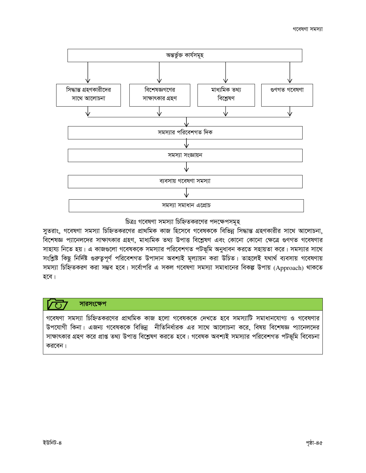

### চিত্রঃ গবেষণা সমস্যা চিহ্নিতকরণের পদক্ষেপসমূহ

সুতরাং, গবেষণা সমস্যা চিহ্নিতকরণের প্রাথমিক কাজ হিসেবে গবেষককে বিভিন্ন সিদ্ধান্ত গ্রহণকারীর সাথে আলোচনা, বিশেষজ্ঞ প্যানেলদের সাক্ষাৎকার গ্রহণ, মাধ্যমিক তথ্য উপাত্ত বিশ্লেষণ এবং কোনো কোনো ক্ষেত্রে গুণগত গবেষণার সাহায্য নিতে হয়। এ কাজগুলো গবেষককে সমস্যার পরিবেশগত পটভূমি অনুধাবন করতে সহায়তা করে। সমস্যার সাথে সংশ্লিষ্ট কিছু নির্দিষ্ট গুরুত্বপূর্ণ পরিবেশগত উপাদান অবশ্যই মূল্যায়ন করা উচিত। তাহলেই যথার্থ ব্যবসায় গবেষণায় সমস্যা চিহ্নিতকরণ করা সম্ভব হবে। সর্বোপরি এ সকল গবেষণা সমস্যা সমাধানের বিকল্প উপায় (Approach) থাকতে হবে।

# সারসংক্ষেপ

গবেষণা সমস্যা চিহ্নিতকরণের প্রাথমিক কাজ হলো গবেষককে দেখতে হবে সমস্যাটি সমাধানযোগ্য ও গবেষণার উপযোগী কিনা। এজন্য গবেষককে বিভিন্ন নীতিনির্ধারক এর সাথে আলোচনা করে, বিষয় বিশেষজ্ঞ প্যানেলদের সাক্ষাৎকার গ্রহণ করে প্রাপ্ত তথ্য উপাত্ত বিশ্লেষণ করতে হবে। গবেষক অবশ্যই সমস্যার পরিবেশগত পটভূমি বিবেচনা করবেন।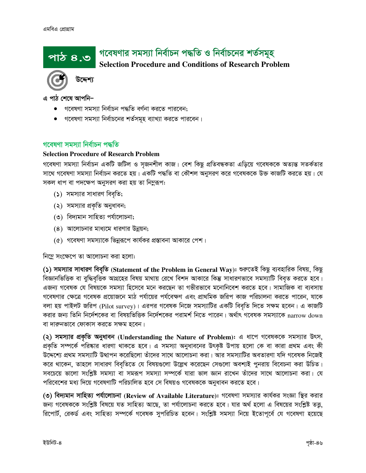# | গবেষণার সমস্যা নির্বাচন পদ্ধতি ও নির্বাচনের শর্তসমূহ পাঠ ৪.৩

# **Selection Procedure and Conditions of Research Problem**



এ পাঠ শেষে আপনি–

- গবেষণা সমস্যা নিৰ্বাচন পদ্ধতি বৰ্ণনা করতে পারবেন;
- গবেষণা সমস্যা নির্বাচনের শর্তসমূহ ব্যাখ্যা করতে পারবেন।

### গবেষণা সমস্যা নিৰ্বাচন পদ্ধতি

### **Selection Procedure of Research Problem**

গবেষণা সমস্যা নিৰ্বাচন একটি জটিল ও সজনশীল কাজ। বেশ কিছু প্ৰতিবন্ধকতা এড়িয়ে গবেষককে অত্যন্ত সতৰ্কতার সাথে গবেষণা সমস্যা নির্বাচন করতে হয়। একটি পদ্ধতি বা কৌশল অনুসরণ করে গবেষককে উক্ত কাজটি করতে হয়। যে সকল ধাপ বা পদক্ষেপ অনুসরণ করা হয় তা নিমুরূপ:

- $(5)$  সমস্যার সাধারণ বিবৃতি;
- (২) সমস্যার প্রকৃতি অনুধাবন;
- (৩) বিদ্যমান সাহিত্য পর্যালোচনা;
- $(8)$  আলোচনার মাধ্যমে ধারণার উন্নয়ন;
- (৫) গবেষণা সমস্যাকে ভিন্নরূপে কার্যকর প্রস্তাবনা আকারে পেশ।

নিম্নে সংক্ষেপে তা আলোচনা করা হলো:

(১) সমস্যার সাধারণ বিবৃতি (Statement of the Problem in General Way): শুরুতেই কিছু ব্যবহারিক বিষয়, কিছু বিজ্ঞানভিত্তিক বা বুদ্ধিবৃত্তিক আগ্রহের বিষয় মাথায় রেখে বিশদ আকারে কিন্তু সাধারণভাবে সমস্যাটি বিবৃত করতে হবে। এজন্য গবেষক যে বিষয়কে সমস্যা হিসেবে মনে করছেন তা গভীরভাবে মনোনিবেশ করতে হবে। সামাজিক বা ব্যবসায় গবেষণার ক্ষেত্রে গবেষক প্রয়োজনে মাঠ পর্যায়ের পর্যবেক্ষণ এবং প্রাথমিক জরিপ কাজ পরিচালনা করতে পারেন, যাকে বলা হয় পাইলট জরিপ (Pilot survey)। এরপর গবেষক নিজে সমস্যাটির একটি বিবৃতি দিতে সক্ষম হবেন। এ কাজটি করার জন্য তিনি নির্দেশকের বা বিষয়ভিত্তিক নির্দেশকের পরামর্শ নিতে পারেন। অর্থাৎ গবেষক সমস্যাকে narrow down বা দারুনভাবে ফোকাস করতে সক্ষম হবেন।

(২) সমস্যার প্রকৃতি অনুধাবন (Understanding the Nature of Problem): এ ধাপে গবেষককে সমস্যার উৎস, প্রকৃতি সম্পর্কে পরিষ্কার ধারণা থাকতে হবে। এ সমস্যা অনুধাবনের উৎকৃষ্ট উপায় হলো কে বা কারা প্রথম এবং কী উদ্দেশ্যে প্রথম সমস্যাটি উত্থাপন করেছিলো তাঁদের সাথে আলোচনা করা। আর সমস্যাটির অবতারণা যদি গবেষক নিজেই করে থাকেন, তাহলে সাধারণ বিবৃতিতে যে বিষয়গুলো উল্লেখ করেছেন সেগুলো অবশ্যই পুনরায় বিবেচনা করা উচিত। সবচেয়ে ভালো সংশ্লিষ্ট সমস্যা বা সমরূপ সমস্যা সম্পর্কে যারা ভাল জ্ঞান রাখেন তাঁদের সাথে আলোচনা করা। যে পরিবেশের মধ্য দিয়ে গবেষণাটি পরিচালিত হবে সে বিষয়ও গবেষককে অনুধাবন করতে হবে।

(৩) বিদ্যমান সাহিত্য পর্যালোচনা (Review of Available Literature): গবেষণা সমস্যার কার্যকর সংজ্ঞা স্থির করার জন্য গবেষককে সংশ্লিষ্ট বিষয়ে যত সাহিত্য আছে, তা পর্যালোচনা করতে হবে। যার অর্থ হলো এ বিষয়ের সংশ্লিষ্ট তত্ত, রিপোর্ট, রেকর্ড এবং সাহিত্য সম্পর্কে গবেষক সুপরিচিত হবেন। সংশ্লিষ্ট সমস্যা নিয়ে ইতোপূর্বে যে গবেষণা হয়েছে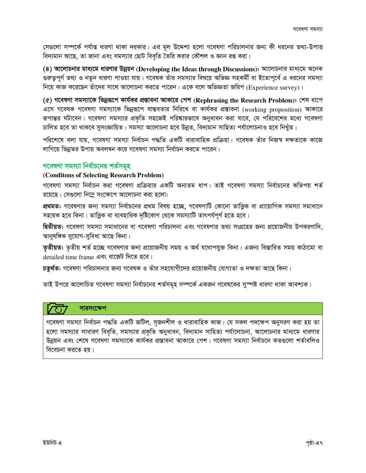সেগুলো সম্পর্কে পর্যাপ্ত ধারণা থাকা দরকার। এর মূল উদ্দেশ্য হলো গবেষণা পরিচালনার জন্য কী ধরনের তথ্য-উপাত্ত বিদ্যমান আছে, তা জানা এবং সমস্যার ছোট বিবৃতি তৈরি করার কৌশল ও জ্ঞান রপ্ত করা।

(8) আলোচনার মাধ্যমে ধারণার উন্নয়ন (Developing the Ideas through Discussions): আলোচনার মাধ্যমে অনেক গুরুত্বপূর্ণ তথ্য ও নতুন ধারণা পাওয়া যায়। গবেষক তাঁর সমস্যার বিষয়ে অভিজ্ঞ সহকর্মী বা ইতোপূর্বে এ ধরনের সমস্যা নিয়ে কাজ করেছেন তাঁদের সাথে আলোচনা করতে পারেন। একে বলে অভিজ্ঞতা জরিপ (Experience survey)।

(৫) গবেষণা সমস্যাকে ভিন্নরূপে কার্যকর প্রস্তাবনা আকারে পেশ (Rephrasing the Research Problem): শেষ ধাপে এসে গবেষক গবেষণা সমস্যাকে ভিন্নরূপে বাস্তবতার নিরিখে বা কার্যকর প্রস্তাবনা (working proposition) আকারে রূপান্তর ঘটাবেন। গবেষণা সমস্যার প্রকৃতি সহজেই পরিষ্কারভাবে অনুধাবন করা যাবে, যে পরিবেশের মধ্যে গবেষণা চালিত হবে তা থাকবে সুসংজ্ঞায়িত। সমস্যা আলোচনা হবে উন্নত, বিদ্যমান সাহিত্য পর্যালোচনাও হবে নিখুঁত।

পরিশেষে বলা যায়, গবেষণা সমস্যা নির্বাচন পদ্ধতি একটি ধারাবাহিক প্রক্রিয়া। গবেষক তাঁর নিজস্ব দক্ষতাকে কাজে লাগিয়ে ভিন্নতর উপায় অবলম্বন করে গবেষণা সমস্যা নির্বাচন করতে পারেন।

# গবেষণা সমস্যা নিৰ্বাচনের শর্তসমূহ

#### (Conditons of Selecting Research Problem)

গবেষণা সমস্যা নির্বাচন করা গবেষণা প্রক্রিয়ার একটি অন্যতম ধাপ। তাই গবেষণা সমস্যা নির্বাচনের কতিপয় শর্ত রয়েছে। সেগুলো নিম্নে সংক্ষেপে আলোচনা করা হলো:

প্রথমত: গবেষণার জন্য সমস্যা নির্বাচনের প্রথম বিষয় হচ্ছে, গবেষণাটি কোনো তাত্তিক বা প্রায়োগিক সমস্যা সমাধানে সহায়ক হবে কিনা। তাত্ত্বিক বা ব্যবহারিক দৃষ্টিকোণ থেকে সমস্যাটি তাৎপর্যপূর্ণ হতে হবে।

দ্বিতীয়ত: গবেষণা সমস্যা সমাধানের বা গবেষণা পরিচালনা এবং গবেষণার তথ্য সংগ্রহের জন্য প্রয়োজনীয় উপকরণাদি, আনুষঙ্গিক সুযোগ-সুবিধা আছে কিনা।

তৃতীয়ত: তৃতীয় শর্ত হচ্ছে গবেষণার জন্য প্রয়োজনীয় সময় ও অর্থ যথোপযুক্ত কিনা। এজন্য বিস্তারিত সময় কাঠামো বা detailed time frame এবং বাজেট দিতে হবে।

চতুর্থত: গবেষণা পরিচালনার জন্য গবেষক ও তাঁর সহযোগীদের প্রয়োজনীয় যোগ্যতা ও দক্ষতা আছে কিনা।

তাই উপরে আলোচিত গবেষণা সমস্যা নির্বাচনের শর্তসমূহ সম্পর্কে একজন গবেষকের সুস্পষ্ট ধারণা থাকা আবশ্যক।

### সারসংক্ষেপ

গবেষণা সমস্যা নির্বাচন পদ্ধতি একটি জটিল, সৃজনশীল ও ধারাবাহিক কাজ। যে সকল পদক্ষেপ অনুসরণ করা হয় তা হলো সমস্যার সাধারণ বিবৃতি, সমস্যার প্রকৃতি অনুধাবন, বিদ্যমান সাহিত্য পর্যালোচনা, আলোচনার মাধ্যমে ধারণার উন্নয়ন এবং শেষে গবেষণা সমস্যাকে কার্যকর প্রস্তাবনা আকারে পেশ। গবেষণা সমস্যা নির্বাচনে কতগুলো শর্তাবলিও বিবেচনা করতে হয়।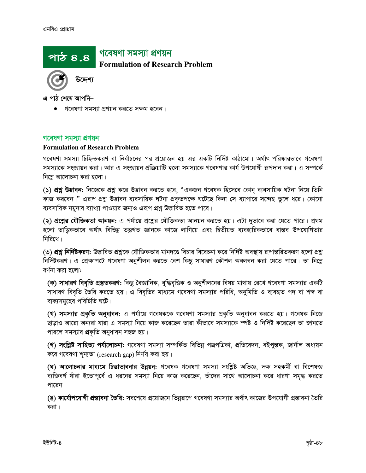# গবেষণা সমস্যা প্ৰণয়ন

**Formulation of Research Problem** 



এ পাঠ শেষে আপনি–

পাঠ ৪.৪

গবেষণা সমস্যা প্রণয়ন করতে সক্ষম হবেন।

#### গবেষণা সমস্যা প্ৰণয়ন

#### **Formulation of Research Problem**

গবেষণা সমস্যা চিহ্নিতকরণ বা নির্বাচনের পর প্রয়োজন হয় এর একটি নির্দিষ্ট কাঠামো। অর্থাৎ পরিষ্কারভাবে গবেষণা সমস্যাকে সংজ্ঞায়ন করা। আর এ সংজ্ঞায়ন প্রক্রিয়াটি হলো সমস্যাকে গবেষণার কার্য উপযোগী রূপদান করা। এ সম্পর্কে নিম্নে আলোচনা করা হলো।

(১) **প্রশ্ন উদ্ভাবন:** নিজেকে প্রশ্ন করে উদ্ভাবন করতে হবে, "একজন গবেষক হিসেবে কোন্ ব্যবসায়িক ঘটনা নিয়ে তিনি কাজ করবেন।" এরূপ প্রশ্নু উদ্ভাবন ব্যবসায়িক ঘটনা প্রকৃতপক্ষে ঘটেছে কিনা সে ব্যাপারে সন্দেহ তুলে ধরে। কোনো ব্যবসায়িক নমুনার ব্যাখ্যা পাওয়ার জন্যও এরূপ প্রশ্ন উদ্ভাবিত হতে পারে।

(২) প্রশ্নের যৌক্তিকতা আনয়ন: এ পর্যায়ে প্রশ্নের যৌক্তিকতা আনয়ন করতে হয়। এটা দুভাবে করা যেতে পারে। প্রথম হলো তাত্তিকভাবে অর্থাৎ বিভিন্ন তত্তগত জ্ঞানকে কাজে লাগিয়ে এবং দ্বিতীয়ত ব্যবহারিকভাবে বাস্তব উপযোগিতার নিরিখে।

(৩) প্রশ্ন নির্দিষ্টকরণ: উদ্ভাবিত প্রশ্নকে যৌক্তিকতার মানদণ্ডে বিচার বিবেচনা করে নির্দিষ্ট অবস্থায় রূপান্তরিতকরণ হলো প্রশ্ন নির্দিষ্টকরণ। এ প্রেক্ষাপটে গবেষণা অনুশীলন করতে বেশ কিছু সাধারণ কৌশল অবলম্বন করা যেতে পারে। তা নিম্লে বৰ্ণনা করা হলো:

(ক) সাধারণ বিবৃতি প্রস্তুতকরণ: কিছু বৈজ্ঞানিক, বুদ্ধিবৃত্তিক ও অনুশীলনের বিষয় মাথায় রেখে গবেষণা সমস্যার একটি সাধারণ বিবৃতি তৈরি করতে হয়। এ বিবৃতির মাধ্যমে গবেষণা সমস্যার পরিধি, অনুমিতি ও ব্যবহৃত পদ বা শব্দ বা বাক্যসমূহের পরিচিতি ঘটে।

(খ) **সমস্যার প্রকৃতি অনুধাবন:** এ পর্যায়ে গবেষককে গবেষণা সমস্যার প্রকৃতি অনুধাবন করতে হয়। গবেষক নিজে ছাড়াও আরো অন্যরা যারা এ সমস্যা নিয়ে কাজ করেছেন তারা কীভাবে সমস্যাকে স্পষ্ট ও নির্দিষ্ট করেছেন তা জানতে পারলে সমস্যার প্রকৃতি অনুধাবন সহজ হয়।

(গ) সংশ্লিষ্ট সাহিত্য পর্যালোচনা: গবেষণা সমস্যা সম্পর্কিত বিভিন্ন পত্রপত্রিকা, প্রতিবেদন, বইপুস্তক, জার্নাল অধ্যয়ন করে গবেষণা শূন্যতা (research gap) নির্ণয় করা হয়।

(ঘ) আলোচনার মাধ্যমে চিন্তাভাবনার উন্নয়ন: গবেষক গবেষণা সমস্যা সংশ্লিষ্ট অভিজ্ঞ, দক্ষ সহকর্মী বা বিশেষজ্ঞ ব্যক্তিবর্গ যাঁরা ইতোপূর্বে এ ধরনের সমস্যা নিয়ে কাজ করেছেন, তাঁদের সাথে আলোচনা করে ধারণা সমৃদ্ধ করতে পারেন।

(ঙ) কার্যোপযোগী প্রস্তাবনা তৈরি: সবশেষে প্রয়োজনে ভিন্নরূপে গবেষণা সমস্যার অর্থাৎ কাজের উপযোগী প্রস্তাবনা তৈরি করা ।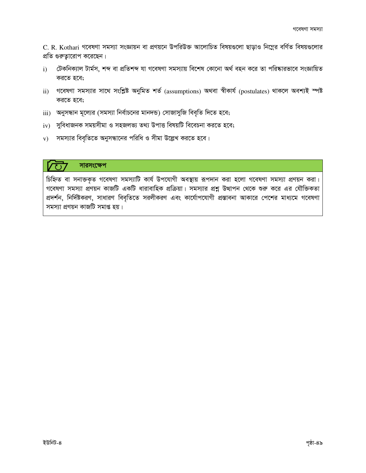C. R. Kothari গবেষণা সমস্যা সংজ্ঞায়ন বা প্রণয়নে উপরিউক্ত আলোচিত বিষয়গুলো ছাড়াও নিম্নের বর্ণিত বিষয়গুলোর প্রতি গুরুত্বারোপ করেছেন।

- টেকনিক্যাল টাৰ্মস, শব্দ বা প্ৰতিশব্দ যা গবেষণা সমস্যায় বিশেষ কোনো অৰ্থ বহন করে তা পরিষ্কারভাবে সংজ্ঞায়িত  $i)$ করতে হবে;
- ii) গবেষণা সমস্যার সাথে সংশ্লিষ্ট অনুমিত শর্ত (assumptions) অথবা স্বীকার্য (postulates) থাকলে অবশ্যই স্পষ্ট করতে হবে;
- iii) অনুসন্ধান মূল্যের (সমস্যা নির্বাচনের মানদন্ড) সোজাসুজি বিবৃতি দিতে হবে;
- $iv$  সুবিধাজনক সময়সীমা ও সহজলভ্য তথ্য উপাত্ত বিষয়টি বিবেচনা করতে হবে;
- $v$ ) সমস্যার বিবৃতিতে অনুসন্ধানের পরিধি ও সীমা উল্লেখ করতে হবে।

# সারসংক্ষেপ

চিহ্নিত বা সনাক্তকৃত গবেষণা সমস্যাটি কার্য উপযোগী অবস্থায় রূপদান করা হলো গবেষণা সমস্যা প্রণয়ন করা। গবেষণা সমস্যা প্রণয়ন কাজটি একটি ধারাবাহিক প্রক্রিয়া। সমস্যার প্রশ্নু উত্থাপন থেকে শুরু করে এর যৌক্তিকতা প্রদর্শন, নির্দিষ্টকরণ, সাধারণ বিবৃতিতে সরলীকরণ এবং কার্যোপযোগী প্রস্তাবনা আকারে পেশের মাধ্যমে গবেষণা সমস্যা প্রণয়ন কাজটি সমাপ্ত হয়।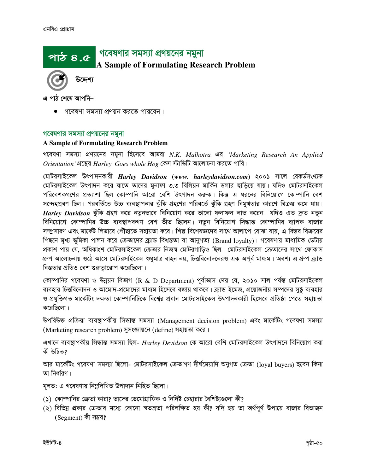# গবেষণার সমস্যা প্রণয়নের নমুনা

**A** S**ample of Formulating Research Problem**

উদ্দেশ্য

এ পাঠ শেষে আপনি–

<u>পাঠ ৪.৫</u>

গবেষণা সমস্যা প্ৰণয়ন করতে পারবেন।

#### গবেষণার সমস্যা প্রণয়নের নমুনা

#### **A Sample of Formulating Research Problem**

গবেষণা সমস্যা প্রণয়নের নমুনা হিসেবে আমরা N.K. Malhotra এর 'Marketing Research An Applied *Orientation'* গ্রন্থের *Harley Goes whole Hog কে*স স্টাডিটি আলোচনা করতে পারি।

 $\alpha$ মটরসাইকেল উৎপাদনকারী *Harley Davidson (www. harleydavidson.com)* ২০০১ সালে রেকর্ডসংখ্যক মোটরসাইকেল উৎপাদন করে যাতে তাদের মুনাফা ৩.৩ বিলিয়ন মার্কিন ডলার ছাড়িয়ে যায়। যদিও মোটরসাইকেল পরিবেশকগণের প্রত্যাশা ছিল কোম্পানি আরো বেশি উৎপাদন করুক। কিন্তু এ ধরনের বিনিয়োগে কোম্পানি বেশ সন্দেহপ্রবণ ছিল। পরবর্তিতে উচ্চ ব্যবস্থাপনার ঝুঁকি গ্রহণের পরিবর্তে ঝুঁকি গ্রহণ বিমুখতার কারণে বিক্রয় কমে যায়। *Harlev Davidson* ঝঁকি গ্রহণ করে নতুনভাবে বিনিয়োগ করে ভালো ফলাফল লাভ করেন। যদিও এত দ্রুত নতুন বিনিয়োগে কোম্পানির উচ্চ ব্যবস্থাপকগণ বেশ ভীত ছিলেন। নতুন বিনিয়োগ সিদ্ধান্ত কোম্পানির ব্যাপক বাজার সম্প্রসারণ এবং মার্কেট লিডারে পৌছাতে সহায়তা করে। শিল্প বিশেষজ্ঞদের সাথে আলাপে বোঝা যায়, এ বিস্তর বিক্রয়ের পিছনে মুখ্য ভূমিকা পালন করে ক্রেতাদের ব্র্যান্ড বিশ্বস্ততা বা আনুগত্য (Brand loyalty)। গবেষণায় মাধ্যমিক ডেটায় প্রকাশ পায় যে, অধিকাংশ মোটরসাইকেল ক্রেতার নিজস্ব মোটরগাড়িও ছিল। মোটরসাইকেল ক্রেতাদের সাথে ফোকাস গ্রুপ আলোচনায় ওঠে আসে মোটরসাইকেল শুধুমাত্র বাহন নয়, চিত্তবিনোদনেরও এক অপূর্ব মাধ্যম। অবশ্য এ গ্রুপ ব্র্যান্ড বিস্ততার প্রতিও বেশ গুরুতারোপ করেছিলো।

কোম্পানির গবেষণা ও উন্নয়ন বিভাগ (R & D Department) পূর্বাভাস দেয় যে, ২০১০ সাল পর্যন্ত মোটরসাইকেল ব্যবহার চিত্তবিনোদন ও আমোদ-প্রমোদের মাধ্যম হিসেবে বজায় থাকবে। ব্যান্ড ইমেজ, প্রয়োজনীয় সম্পদের সুষ্ঠ ব্যবহার ও প্রযুক্তিগত মার্কেটিং দক্ষতা কোম্পানিটিকে বিশ্বের প্রধান মোটরসাইকেল উৎপাদনকারী হিসেবে প্রতিষ্ঠা পেতে সহায়তা করেছিলো।

উপরিউক্ত প্রক্রিয়া ব্যবস্থাপকীয় সিদ্ধান্ত সমস্যা (Management decision problem) এবং মার্কেটিং গবেষণা সমস্যা (Marketing research problem) সুসংজ্ঞায়নে (define) সহায়তা করে।

এখানে ব্যবস্থাপকীয় সিদ্ধান্ত সমস্যা ছিল- *Harley Devidson কে* আরো বেশি মোটরসাইকেল উৎপাদনে বিনিয়োগ করা কী উচিত?

আর মার্কেটিং গবেষণা সমস্যা ছিলো- মোটরসাইকেল ক্রেতাগণ দীর্ঘমেয়াদি অনুগত ক্রেতা (loyal buyers) হবেন কিনা তা নিৰ্ধারণ।

মূলত: এ গবেষণায় নিম্ললিখিত উপাদান নিহিত ছিলো।

- (১) কোম্পানির ক্রেতা কারা? তাদের ডেমোগ্রাফিক ও নির্দিষ্ট চেহারার বৈশিষ্ট্যগুলো কী?
- (২) বিভিন্ন প্রকার ক্রেতার মধ্যে কোনো স্বতন্ত্রতা পরিলক্ষিত হয় কী? যদি হয় তা অর্থপূর্ণ উপায়ে বাজার বিভাজন (Segment) কী সম্ভব?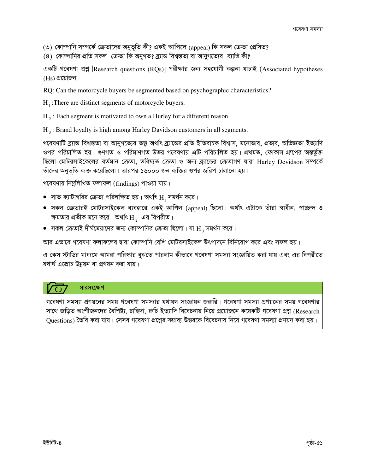(৩) কোম্পানি সম্পর্কে ক্রেতাদের অনুভূতি কী? একই আপিলে (appeal) কি সকল ক্রেতা প্রেষিত?

(8) কোম্পানির প্রতি সকল ক্রেতা কি অনুগত? ব্র্যান্ড বিশ্বস্ততা বা আনুগত্যের ব্যাপ্তি কী?

একটি গবেষণা প্রশ্ন [Research questions (RQs)] পরীক্ষার জন্য সহযোগী কল্পনা যাচাই (Associated hypotheses  $(H<sub>S</sub>)$  প্রয়োজন।

RQ: Can the motorcycle buyers be segmented based on psychographic characteristics?

 $H<sub>1</sub>$ : There are distinct segments of motorcycle buyers.

 $H_2$ : Each segment is motivated to own a Hurley for a different reason.

 $H_3$ : Brand loyalty is high among Harley Davidson customers in all segments.

গবেষণাটি ব্র্যান্ড বিশ্বস্ততা বা আনুগত্যের তত্তু অর্থাৎ ব্র্যান্ডের প্রতি ইতিবাচক বিশ্বাস, মনোভাব, প্রভাব, অভিজ্ঞতা ইত্যাদি ওপর পরিচালিত হয়। গুণগত ও পরিমাণগত উভয় গবেষণায় এটি পরিচালিত হয়। প্রথমত, ফোকাস গ্রুপের অন্তর্ভুক্ত ছিলো মোটরসাইকেলের বর্তমান ক্রেতা, ভবিষ্যত ক্রেতা ও অন্য ব্র্যান্ডের ক্রেতাগণ যারা Harley Devidson সম্পর্কে তাঁদের অনুভূতি ব্যক্ত করেছিলো। তারপর ১৬০০০ জন ব্যক্তির ওপর জরিপ চালানো হয়।

গবেষণায় নিম্নলিখিত ফলাফল (findings) পাওয়া যায়।

- $\bullet$  সাত ক্যাটাগরির ক্রেতা পরিলক্ষিত হয়। অর্থাৎ  $\rm H$ , সমর্থন করে।
- সকল ক্রেতারই মোটরসাইকেল ব্যবহারে একই আপিল (appeal) ছিলো। অর্থাৎ এটাকে তাঁরা স্বাধীন, স্বাচ্ছন্দ ও ক্ষমতার প্রতীক মনে করে। অর্থাৎ $\rm\,H_{2}$  এর বিপরীত।
- $\bullet$  সকল ক্রেতাই দীর্ঘমেয়াদের জন্য কোম্পানির ক্রেতা ছিলো। যা  $\rm{H_{3}}$  সমর্থন করে।

আর এভাবে গবেষণা ফলাফলের দ্বারা কোম্পানি বেশি মোটরসাইকেল উৎপাদনে বিনিয়োগ করে এবং সফল হয়।

এ কেস স্টাডির মাধ্যমে আমরা পরিস্কার বুঝতে পারলাম কীভাবে গবেষণা সমস্যা সংজ্ঞায়িত করা যায় এবং এর বিপরীতে যথার্থ এপ্রোচ উন্নয়ন বা প্রণয়ন করা যায়।

# সারসংক্ষেপ

গবেষণা সমস্যা প্রণয়নের সময় গবেষণা সমস্যার যথাযথ সংজ্ঞায়ন জরুরি। গবেষণা সমস্যা প্রণয়নের সময় গবেষণার সাথে জড়িত অংশীজনদের বৈশিষ্ট্য, চাহিদা, রুচি ইত্যাদি বিবেচনায় নিয়ে প্রয়োজনে কয়েকটি গবেষণা প্রশ্ন (Research Ouestions) তৈরি করা যায়। সেসব গবেষণা প্রশ্নের সম্ভাব্য উত্তরকে বিবেচনায় নিয়ে গবেষণা সমস্যা প্রণয়ন করা হয়।